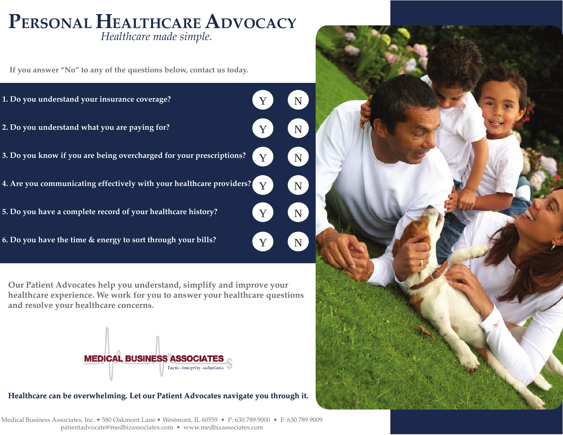# *Healthcare made simple.* **PERSONAL HEALTHCAREADVOCACY**

**If you answer "No" to any of the questions below, contact us today.**

**1. Do you understand your insurance coverage? 2. Do you understand what you are paying for? 3. Do you know if you are being overcharged for your prescriptions? 4. Are you communicating effectively with your healthcare providers? 5. Do you have a complete record of your healthcare history? 6. Do you have the time & energy to sort through your bills?** Y Y Y Y Y Y N N N N) N N

**Our Patient Advocates help you understand, simplify and improve your healthcare experience. We work for you to answer your healthcare questions and resolve your healthcare concerns.**



#### **Healthcare can be overwhelming. Let our Patient Advocates navigate you through it.**

Medical Business Associates, Inc. • 580 Oakmont Lane • Westmont, IL 60559 • P: 630.789.9000 • F: 630.789.9009 patientadvocate@medbizassociates.com • www.medbizassociates.com